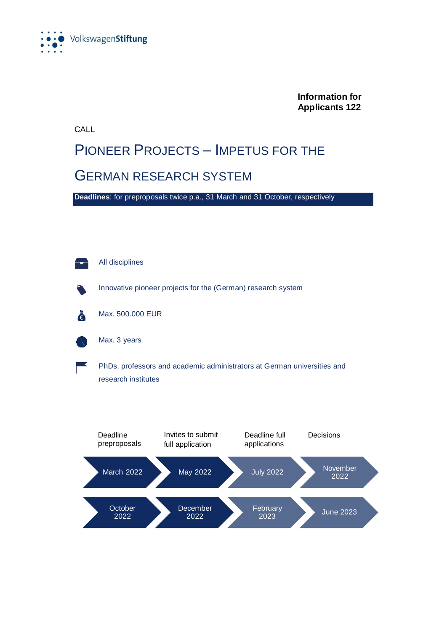

**Information for Applicants 122**

CALL

#### PIONEER PROJECTS – IMPETUS FOR THE GERMAN RESEARCH SYSTEM

**Deadlines**: for preproposals twice p.a., 31 March and 31 October, respectively



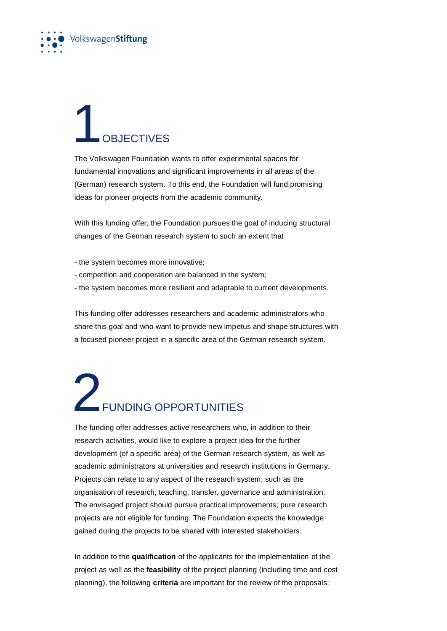

### **OBJECTIVES**

The Volkswagen Foundation wants to offer experimental spaces for fundamental innovations and significant improvements in all areas of the (German) research system. To this end, the Foundation will fund promising ideas for pioneer projects from the academic community.

With this funding offer, the Foundation pursues the goal of inducing structural changes of the German research system to such an extent that

- the system becomes more innovative;
- competition and cooperation are balanced in the system;
- the system becomes more resilient and adaptable to current developments.

This funding offer addresses researchers and academic administrators who share this goal and who want to provide new impetus and shape structures with a focused pioneer project in a specific area of the German research system.

#### 2FUNDING OPPORTUNITIES

The funding offer addresses active researchers who, in addition to their research activities, would like to explore a project idea for the further development (of a specific area) of the German research system, as well as academic administrators at universities and research institutions in Germany. Projects can relate to any aspect of the research system, such as the organisation of research, teaching, transfer, governance and administration. The envisaged project should pursue practical improvements; pure research projects are not eligible for funding. The Foundation expects the knowledge gained during the projects to be shared with interested stakeholders.

In addition to the **qualification** of the applicants for the implementation of the project as well as the **feasibility** of the project planning (including time and cost planning), the following **criteria** are important for the review of the proposals: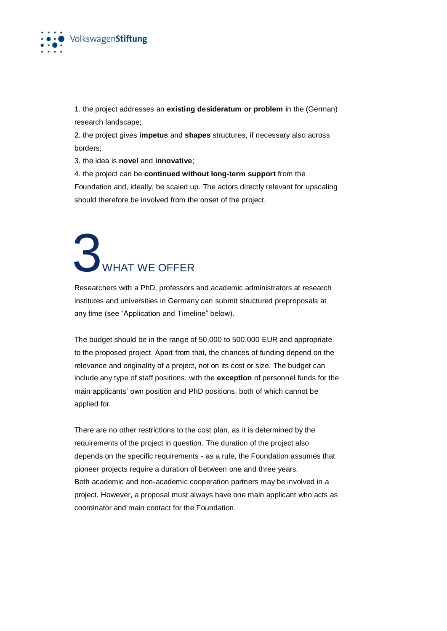

1. the project addresses an **existing desideratum or problem** in the (German) research landscape;

2. the project gives **impetus** and **shapes** structures, if necessary also across borders;

3. the idea is **novel** and **innovative**;

4. the project can be **continued without long-term support** from the

Foundation and, ideally, be scaled up. The actors directly relevant for upscaling should therefore be involved from the onset of the project.

# **3**WHAT WE OFFER

Researchers with a PhD, professors and academic administrators at research institutes and universities in Germany can submit structured preproposals at any time (see "Application and Timeline" below).

The budget should be in the range of 50,000 to 500,000 EUR and appropriate to the proposed project. Apart from that, the chances of funding depend on the relevance and originality of a project, not on its cost or size. The budget can include any type of staff positions, with the **exception** of personnel funds for the main applicants' own position and PhD positions, both of which cannot be applied for.

There are no other restrictions to the cost plan, as it is determined by the requirements of the project in question. The duration of the project also depends on the specific requirements - as a rule, the Foundation assumes that pioneer projects require a duration of between one and three years. Both academic and non-academic cooperation partners may be involved in a project. However, a proposal must always have one main applicant who acts as coordinator and main contact for the Foundation.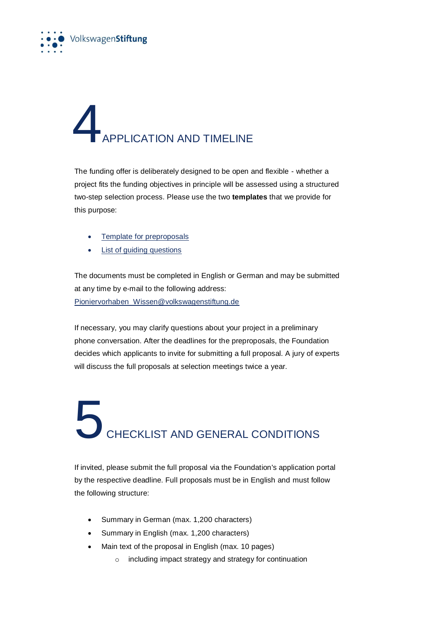

# **APPLICATION AND TIMELINE**

The funding offer is deliberately designed to be open and flexible - whether a project fits the funding objectives in principle will be assessed using a structured two-step selection process. Please use the two **templates** that we provide for this purpose:

- [Template for preproposals](https://www.volkswagenstiftung.de/sites/default/files/downloads/Vorlage%20f%C3%BCr%20Projektskizze%20-%20Pioniervorhaben.zip)
- [List of guiding questions](https://www.volkswagenstiftung.de/sites/default/files/downloads/Vorlage%20zu%20Leitfragen%20-%20Pioniervorhaben.zip)

The documents must be completed in English or German and may be submitted at any time by e-mail to the following address: [Pioniervorhaben\\_Wissen@volkswagenstiftung.de](mailto:Pioniervorhaben_Wissen@volkswagenstiftung.de)

If necessary, you may clarify questions about your project in a preliminary phone conversation. After the deadlines for the preproposals, the Foundation decides which applicants to invite for submitting a full proposal. A jury of experts will discuss the full proposals at selection meetings twice a year.

# **5**<br>CHECKLIST AND GENERAL CONDITIONS

If invited, please submit the full proposal via the Foundation's application portal by the respective deadline. Full proposals must be in English and must follow the following structure:

- Summary in German (max. 1,200 characters)
- Summary in English (max. 1,200 characters)
- Main text of the proposal in English (max. 10 pages)
	- o including impact strategy and strategy for continuation